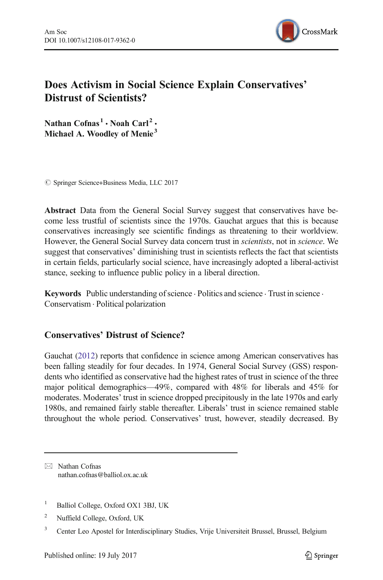

# Does Activism in Social Science Explain Conservatives' Distrust of Scientists?

Nathan Cofnas<sup>1</sup>  $\cdot$  Noah Carl<sup>2</sup>  $\cdot$ Michael A. Woodley of Menie<sup>3</sup>

 $\oslash$  Springer Science+Business Media, LLC 2017

Abstract Data from the General Social Survey suggest that conservatives have become less trustful of scientists since the 1970s. Gauchat argues that this is because conservatives increasingly see scientific findings as threatening to their worldview. However, the General Social Survey data concern trust in scientists, not in science. We suggest that conservatives' diminishing trust in scientists reflects the fact that scientists in certain fields, particularly social science, have increasingly adopted a liberal-activist stance, seeking to influence public policy in a liberal direction.

Keywords Public understanding of science . Politics and science . Trust in science . Conservatism . Political polarization

# Conservatives' Distrust of Science?

Gauchat [\(2012\)](#page-12-0) reports that confidence in science among American conservatives has been falling steadily for four decades. In 1974, General Social Survey (GSS) respondents who identified as conservative had the highest rates of trust in science of the three major political demographics—49%, compared with 48% for liberals and 45% for moderates. Moderates' trust in science dropped precipitously in the late 1970s and early 1980s, and remained fairly stable thereafter. Liberals' trust in science remained stable throughout the whole period. Conservatives' trust, however, steadily decreased. By

 $\boxtimes$  Nathan Cofnas [nathan.cofnas@balliol.ox.ac.uk](mailto:nathan.cofnas@balliol.ox.ac.uk)

- <sup>1</sup> Balliol College, Oxford OX1 3BJ, UK
- <sup>2</sup> Nuffield College, Oxford, UK

<sup>&</sup>lt;sup>3</sup> Center Leo Apostel for Interdisciplinary Studies, Vrije Universiteit Brussel, Brussel, Belgium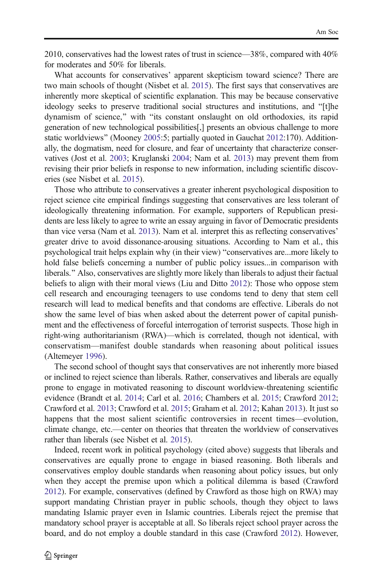2010, conservatives had the lowest rates of trust in science—38%, compared with 40% for moderates and 50% for liberals.

What accounts for conservatives' apparent skepticism toward science? There are two main schools of thought (Nisbet et al. [2015](#page-13-0)). The first says that conservatives are inherently more skeptical of scientific explanation. This may be because conservative ideology seeks to preserve traditional social structures and institutions, and "[t]he dynamism of science," with "its constant onslaught on old orthodoxies, its rapid generation of new technological possibilities[,] presents an obvious challenge to more static worldviews" (Mooney [2005](#page-13-0):5; partially quoted in Gauchat [2012](#page-12-0):170). Additionally, the dogmatism, need for closure, and fear of uncertainty that characterize conservatives (Jost et al. [2003](#page-12-0); Kruglanski [2004](#page-12-0); Nam et al. [2013\)](#page-13-0) may prevent them from revising their prior beliefs in response to new information, including scientific discoveries (see Nisbet et al. [2015](#page-13-0)).

Those who attribute to conservatives a greater inherent psychological disposition to reject science cite empirical findings suggesting that conservatives are less tolerant of ideologically threatening information. For example, supporters of Republican presidents are less likely to agree to write an essay arguing in favor of Democratic presidents than vice versa (Nam et al. [2013\)](#page-13-0). Nam et al. interpret this as reflecting conservatives' greater drive to avoid dissonance-arousing situations. According to Nam et al., this psychological trait helps explain why (in their view) "conservatives are...more likely to hold false beliefs concerning a number of public policy issues...in comparison with liberals." Also, conservatives are slightly more likely than liberals to adjust their factual beliefs to align with their moral views (Liu and Ditto [2012\)](#page-12-0): Those who oppose stem cell research and encouraging teenagers to use condoms tend to deny that stem cell research will lead to medical benefits and that condoms are effective. Liberals do not show the same level of bias when asked about the deterrent power of capital punishment and the effectiveness of forceful interrogation of terrorist suspects. Those high in right-wing authoritarianism (RWA)—which is correlated, though not identical, with conservatism—manifest double standards when reasoning about political issues (Altemeyer [1996](#page-11-0)).

The second school of thought says that conservatives are not inherently more biased or inclined to reject science than liberals. Rather, conservatives and liberals are equally prone to engage in motivated reasoning to discount worldview-threatening scientific evidence (Brandt et al. [2014;](#page-12-0) Carl et al. [2016](#page-12-0); Chambers et al. [2015](#page-12-0); Crawford [2012;](#page-12-0) Crawford et al. [2013;](#page-12-0) Crawford et al. [2015;](#page-12-0) Graham et al. [2012;](#page-12-0) Kahan [2013](#page-12-0)). It just so happens that the most salient scientific controversies in recent times—evolution, climate change, etc.—center on theories that threaten the worldview of conservatives rather than liberals (see Nisbet et al. [2015](#page-13-0)).

Indeed, recent work in political psychology (cited above) suggests that liberals and conservatives are equally prone to engage in biased reasoning. Both liberals and conservatives employ double standards when reasoning about policy issues, but only when they accept the premise upon which a political dilemma is based (Crawford [2012\)](#page-12-0). For example, conservatives (defined by Crawford as those high on RWA) may support mandating Christian prayer in public schools, though they object to laws mandating Islamic prayer even in Islamic countries. Liberals reject the premise that mandatory school prayer is acceptable at all. So liberals reject school prayer across the board, and do not employ a double standard in this case (Crawford [2012\)](#page-12-0). However,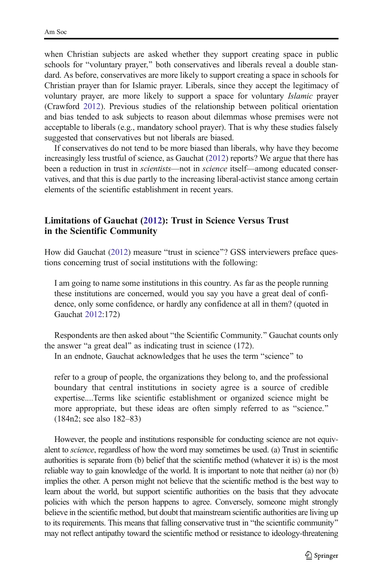when Christian subjects are asked whether they support creating space in public schools for "voluntary prayer," both conservatives and liberals reveal a double standard. As before, conservatives are more likely to support creating a space in schools for Christian prayer than for Islamic prayer. Liberals, since they accept the legitimacy of voluntary prayer, are more likely to support a space for voluntary Islamic prayer (Crawford [2012](#page-12-0)). Previous studies of the relationship between political orientation and bias tended to ask subjects to reason about dilemmas whose premises were not acceptable to liberals (e.g., mandatory school prayer). That is why these studies falsely suggested that conservatives but not liberals are biased.

If conservatives do not tend to be more biased than liberals, why have they become increasingly less trustful of science, as Gauchat [\(2012\)](#page-12-0) reports? We argue that there has been a reduction in trust in *scientists*—not in *science* itself—among educated conservatives, and that this is due partly to the increasing liberal-activist stance among certain elements of the scientific establishment in recent years.

# Limitations of Gauchat ([2012](#page-12-0)): Trust in Science Versus Trust in the Scientific Community

How did Gauchat [\(2012\)](#page-12-0) measure "trust in science"? GSS interviewers preface questions concerning trust of social institutions with the following:

I am going to name some institutions in this country. As far as the people running these institutions are concerned, would you say you have a great deal of confidence, only some confidence, or hardly any confidence at all in them? (quoted in Gauchat [2012](#page-12-0):172)

Respondents are then asked about "the Scientific Community." Gauchat counts only the answer "a great deal" as indicating trust in science  $(172)$ .

In an endnote, Gauchat acknowledges that he uses the term "science" to

refer to a group of people, the organizations they belong to, and the professional boundary that central institutions in society agree is a source of credible expertise....Terms like scientific establishment or organized science might be more appropriate, but these ideas are often simply referred to as "science." (184n2; see also 182–83)

However, the people and institutions responsible for conducting science are not equivalent to science, regardless of how the word may sometimes be used. (a) Trust in scientific authorities is separate from (b) belief that the scientific method (whatever it is) is the most reliable way to gain knowledge of the world. It is important to note that neither (a) nor (b) implies the other. A person might not believe that the scientific method is the best way to learn about the world, but support scientific authorities on the basis that they advocate policies with which the person happens to agree. Conversely, someone might strongly believe in the scientific method, but doubt that mainstream scientific authorities are living up to its requirements. This means that falling conservative trust in "the scientific community" may not reflect antipathy toward the scientific method or resistance to ideology-threatening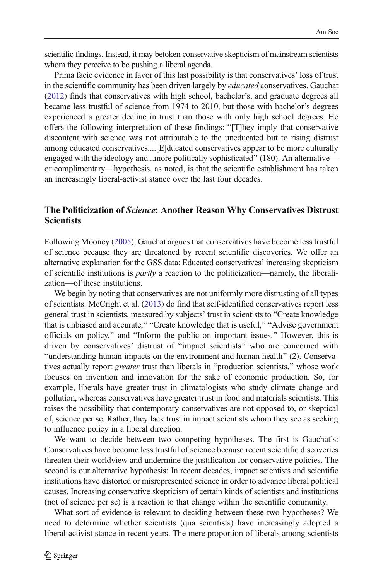scientific findings. Instead, it may betoken conservative skepticism of mainstream scientists whom they perceive to be pushing a liberal agenda.

Prima facie evidence in favor of this last possibility is that conservatives' loss of trust in the scientific community has been driven largely by educated conservatives. Gauchat [\(2012\)](#page-12-0) finds that conservatives with high school, bachelor's, and graduate degrees all became less trustful of science from 1974 to 2010, but those with bachelor's degrees experienced a greater decline in trust than those with only high school degrees. He offers the following interpretation of these findings: "[T]hey imply that conservative discontent with science was not attributable to the uneducated but to rising distrust among educated conservatives....[E]ducated conservatives appear to be more culturally engaged with the ideology and...more politically sophisticated" (180). An alternative or complimentary—hypothesis, as noted, is that the scientific establishment has taken an increasingly liberal-activist stance over the last four decades.

## The Politicization of Science: Another Reason Why Conservatives Distrust **Scientists**

Following Mooney [\(2005\)](#page-13-0), Gauchat argues that conservatives have become less trustful of science because they are threatened by recent scientific discoveries. We offer an alternative explanation for the GSS data: Educated conservatives' increasing skepticism of scientific institutions is partly a reaction to the politicization—namely, the liberalization—of these institutions.

We begin by noting that conservatives are not uniformly more distrusting of all types of scientists. McCright et al. ([2013](#page-13-0)) do find that self-identified conservatives report less general trust in scientists, measured by subjects' trust in scientists to "Create knowledge" that is unbiased and accurate," "Create knowledge that is useful," "Advise government officials on policy," and "Inform the public on important issues." However, this is driven by conservatives' distrust of "impact scientists" who are concerned with "understanding human impacts on the environment and human health"  $(2)$ . Conservatives actually report greater trust than liberals in "production scientists," whose work focuses on invention and innovation for the sake of economic production. So, for example, liberals have greater trust in climatologists who study climate change and pollution, whereas conservatives have greater trust in food and materials scientists. This raises the possibility that contemporary conservatives are not opposed to, or skeptical of, science per se. Rather, they lack trust in impact scientists whom they see as seeking to influence policy in a liberal direction.

We want to decide between two competing hypotheses. The first is Gauchat's: Conservatives have become less trustful of science because recent scientific discoveries threaten their worldview and undermine the justification for conservative policies. The second is our alternative hypothesis: In recent decades, impact scientists and scientific institutions have distorted or misrepresented science in order to advance liberal political causes. Increasing conservative skepticism of certain kinds of scientists and institutions (not of science per se) is a reaction to that change within the scientific community.

What sort of evidence is relevant to deciding between these two hypotheses? We need to determine whether scientists (qua scientists) have increasingly adopted a liberal-activist stance in recent years. The mere proportion of liberals among scientists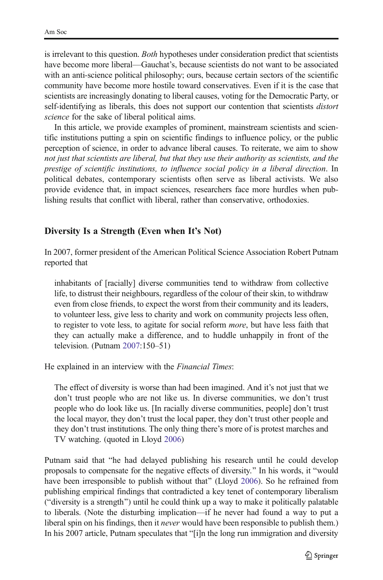is irrelevant to this question. Both hypotheses under consideration predict that scientists have become more liberal—Gauchat's, because scientists do not want to be associated with an anti-science political philosophy; ours, because certain sectors of the scientific community have become more hostile toward conservatives. Even if it is the case that scientists are increasingly donating to liberal causes, voting for the Democratic Party, or self-identifying as liberals, this does not support our contention that scientists *distort* science for the sake of liberal political aims.

In this article, we provide examples of prominent, mainstream scientists and scientific institutions putting a spin on scientific findings to influence policy, or the public perception of science, in order to advance liberal causes. To reiterate, we aim to show not just that scientists are liberal, but that they use their authority as scientists, and the prestige of scientific institutions, to influence social policy in a liberal direction. In political debates, contemporary scientists often serve as liberal activists. We also provide evidence that, in impact sciences, researchers face more hurdles when publishing results that conflict with liberal, rather than conservative, orthodoxies.

## Diversity Is a Strength (Even when It's Not)

In 2007, former president of the American Political Science Association Robert Putnam reported that

inhabitants of [racially] diverse communities tend to withdraw from collective life, to distrust their neighbours, regardless of the colour of their skin, to withdraw even from close friends, to expect the worst from their community and its leaders, to volunteer less, give less to charity and work on community projects less often, to register to vote less, to agitate for social reform more, but have less faith that they can actually make a difference, and to huddle unhappily in front of the television. (Putnam [2007](#page-13-0):150–51)

He explained in an interview with the Financial Times:

The effect of diversity is worse than had been imagined. And it's not just that we don't trust people who are not like us. In diverse communities, we don't trust people who do look like us. [In racially diverse communities, people] don't trust the local mayor, they don't trust the local paper, they don't trust other people and they don't trust institutions. The only thing there's more of is protest marches and TV watching. (quoted in Lloyd [2006](#page-12-0))

Putnam said that "he had delayed publishing his research until he could develop proposals to compensate for the negative effects of diversity.<sup>"</sup> In his words, it "would have been irresponsible to publish without that" (Lloyd [2006](#page-12-0)). So he refrained from publishing empirical findings that contradicted a key tenet of contemporary liberalism ("diversity is a strength") until he could think up a way to make it politically palatable to liberals. (Note the disturbing implication—if he never had found a way to put a liberal spin on his findings, then it *never* would have been responsible to publish them.) In his 2007 article, Putnam speculates that "[i]n the long run immigration and diversity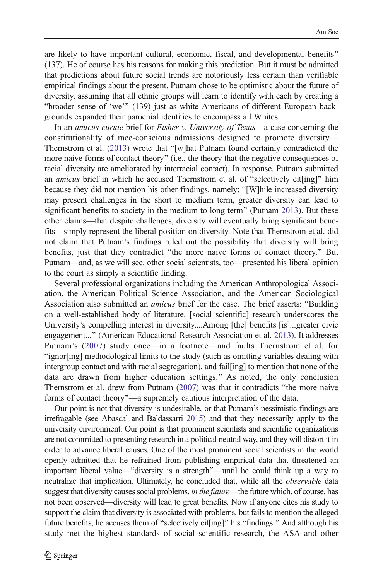are likely to have important cultural, economic, fiscal, and developmental benefits^ (137). He of course has his reasons for making this prediction. But it must be admitted that predictions about future social trends are notoriously less certain than verifiable empirical findings about the present. Putnam chose to be optimistic about the future of diversity, assuming that all ethnic groups will learn to identify with each by creating a "broader sense of 'we'" (139) just as white Americans of different European backgrounds expanded their parochial identities to encompass all Whites.

In an *amicus curiae* brief for *Fisher v. University of Texas*—a case concerning the constitutionality of race-conscious admissions designed to promote diversity— Thernstrom et al.  $(2013)$  wrote that "[w]hat Putnam found certainly contradicted the more naive forms of contact theory" (i.e., the theory that the negative consequences of racial diversity are ameliorated by interracial contact). In response, Putnam submitted an *amicus* brief in which he accused Thernstrom et al. of "selectively cit[ing]" him because they did not mention his other findings, namely: "[W]hile increased diversity may present challenges in the short to medium term, greater diversity can lead to significant benefits to society in the medium to long term" (Putnam [2013\)](#page-13-0). But these other claims—that despite challenges, diversity will eventually bring significant benefits—simply represent the liberal position on diversity. Note that Thernstrom et al. did not claim that Putnam's findings ruled out the possibility that diversity will bring benefits, just that they contradict "the more naive forms of contact theory." But Putnam—and, as we will see, other social scientists, too—presented his liberal opinion to the court as simply a scientific finding.

Several professional organizations including the American Anthropological Association, the American Political Science Association, and the American Sociological Association also submitted an *amicus* brief for the case. The brief asserts: "Building on a well-established body of literature, [social scientific] research underscores the University's compelling interest in diversity....Among [the] benefits [is]...greater civic engagement..." (American Educational Research Association et al. [2013](#page-11-0)). It addresses Putnam's [\(2007](#page-13-0)) study once—in a footnote—and faults Thernstrom et al. for Bignor[ing] methodological limits to the study (such as omitting variables dealing with intergroup contact and with racial segregation), and fail[ing] to mention that none of the data are drawn from higher education settings.^ As noted, the only conclusion Thernstrom et al. drew from Putnam  $(2007)$  $(2007)$  $(2007)$  was that it contradicts "the more naive forms of contact theory"—a supremely cautious interpretation of the data.

Our point is not that diversity is undesirable, or that Putnam's pessimistic findings are irrefragable (see Abascal and Baldassarri [2015](#page-11-0)) and that they necessarily apply to the university environment. Our point is that prominent scientists and scientific organizations are not committed to presenting research in a political neutral way, and they will distort it in order to advance liberal causes. One of the most prominent social scientists in the world openly admitted that he refrained from publishing empirical data that threatened an important liberal value—"diversity is a strength"—until he could think up a way to neutralize that implication. Ultimately, he concluded that, while all the *observable* data suggest that diversity causes social problems, in the future—the future which, of course, has not been observed—diversity will lead to great benefits. Now if anyone cites his study to support the claim that diversity is associated with problems, but fails to mention the alleged future benefits, he accuses them of "selectively cit[ing]" his "findings." And although his study met the highest standards of social scientific research, the ASA and other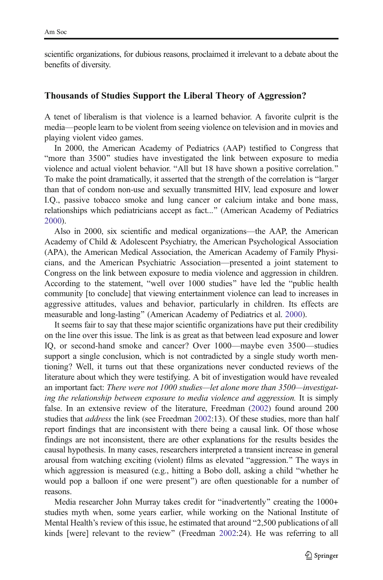scientific organizations, for dubious reasons, proclaimed it irrelevant to a debate about the benefits of diversity.

#### Thousands of Studies Support the Liberal Theory of Aggression?

A tenet of liberalism is that violence is a learned behavior. A favorite culprit is the media—people learn to be violent from seeing violence on television and in movies and playing violent video games.

In 2000, the American Academy of Pediatrics (AAP) testified to Congress that "more than 3500" studies have investigated the link between exposure to media violence and actual violent behavior. "All but 18 have shown a positive correlation." To make the point dramatically, it asserted that the strength of the correlation is "larger" than that of condom non-use and sexually transmitted HIV, lead exposure and lower I.Q., passive tobacco smoke and lung cancer or calcium intake and bone mass, relationships which pediatricians accept as fact..." (American Academy of Pediatrics [2000\)](#page-11-0).

Also in 2000, six scientific and medical organizations—the AAP, the American Academy of Child & Adolescent Psychiatry, the American Psychological Association (APA), the American Medical Association, the American Academy of Family Physicians, and the American Psychiatric Association—presented a joint statement to Congress on the link between exposure to media violence and aggression in children. According to the statement, "well over 1000 studies" have led the "public health community [to conclude] that viewing entertainment violence can lead to increases in aggressive attitudes, values and behavior, particularly in children. Its effects are measurable and long-lasting" (American Academy of Pediatrics et al. [2000\)](#page-11-0).

It seems fair to say that these major scientific organizations have put their credibility on the line over this issue. The link is as great as that between lead exposure and lower IQ, or second-hand smoke and cancer? Over 1000—maybe even 3500—studies support a single conclusion, which is not contradicted by a single study worth mentioning? Well, it turns out that these organizations never conducted reviews of the literature about which they were testifying. A bit of investigation would have revealed an important fact: There were not 1000 studies—let alone more than 3500—investigating the relationship between exposure to media violence and aggression. It is simply false. In an extensive review of the literature, Freedman [\(2002\)](#page-12-0) found around 200 studies that *address* the link (see Freedman [2002:](#page-12-0)13). Of these studies, more than half report findings that are inconsistent with there being a causal link. Of those whose findings are not inconsistent, there are other explanations for the results besides the causal hypothesis. In many cases, researchers interpreted a transient increase in general arousal from watching exciting (violent) films as elevated "aggression." The ways in which aggression is measured (e.g., hitting a Bobo doll, asking a child "whether he would pop a balloon if one were present") are often questionable for a number of reasons.

Media researcher John Murray takes credit for "inadvertently" creating the 1000+ studies myth when, some years earlier, while working on the National Institute of Mental Health's review of this issue, he estimated that around "2,500 publications of all kinds [were] relevant to the review^ (Freedman [2002](#page-12-0):24). He was referring to all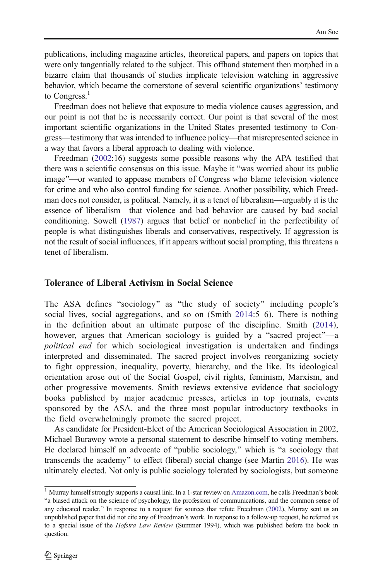publications, including magazine articles, theoretical papers, and papers on topics that were only tangentially related to the subject. This offhand statement then morphed in a bizarre claim that thousands of studies implicate television watching in aggressive behavior, which became the cornerstone of several scientific organizations' testimony to Congress. $<sup>1</sup>$ </sup>

Freedman does not believe that exposure to media violence causes aggression, and our point is not that he is necessarily correct. Our point is that several of the most important scientific organizations in the United States presented testimony to Congress—testimony that was intended to influence policy—that misrepresented science in a way that favors a liberal approach to dealing with violence.

Freedman [\(2002](#page-12-0):16) suggests some possible reasons why the APA testified that there was a scientific consensus on this issue. Maybe it "was worried about its public image"—or wanted to appease members of Congress who blame television violence for crime and who also control funding for science. Another possibility, which Freedman does not consider, is political. Namely, it is a tenet of liberalism—arguably it is the essence of liberalism—that violence and bad behavior are caused by bad social conditioning. Sowell ([1987](#page-13-0)) argues that belief or nonbelief in the perfectibility of people is what distinguishes liberals and conservatives, respectively. If aggression is not the result of social influences, if it appears without social prompting, this threatens a tenet of liberalism.

## Tolerance of Liberal Activism in Social Science

The ASA defines "sociology" as "the study of society" including people's social lives, social aggregations, and so on (Smith [2014](#page-13-0):5–6). There is nothing in the definition about an ultimate purpose of the discipline. Smith ([2014\)](#page-13-0), however, argues that American sociology is guided by a "sacred project"—a political end for which sociological investigation is undertaken and findings interpreted and disseminated. The sacred project involves reorganizing society to fight oppression, inequality, poverty, hierarchy, and the like. Its ideological orientation arose out of the Social Gospel, civil rights, feminism, Marxism, and other progressive movements. Smith reviews extensive evidence that sociology books published by major academic presses, articles in top journals, events sponsored by the ASA, and the three most popular introductory textbooks in the field overwhelmingly promote the sacred project.

As candidate for President-Elect of the American Sociological Association in 2002, Michael Burawoy wrote a personal statement to describe himself to voting members. He declared himself an advocate of "public sociology," which is "a sociology that transcends the academy^ to effect (liberal) social change (see Martin [2016](#page-13-0)). He was ultimately elected. Not only is public sociology tolerated by sociologists, but someone

<sup>&</sup>lt;sup>1</sup> Murray himself strongly supports a causal link. In a 1-star review on [Amazon.com](http://amazon.com), he calls Freedman's book Ba biased attack on the science of psychology, the profession of communications, and the common sense of any educated reader." In response to a request for sources that refute Freedman [\(2002](#page-12-0)), Murray sent us an unpublished paper that did not cite any of Freedman's work. In response to a follow-up request, he referred us to a special issue of the *Hofstra Law Review* (Summer 1994), which was published before the book in question.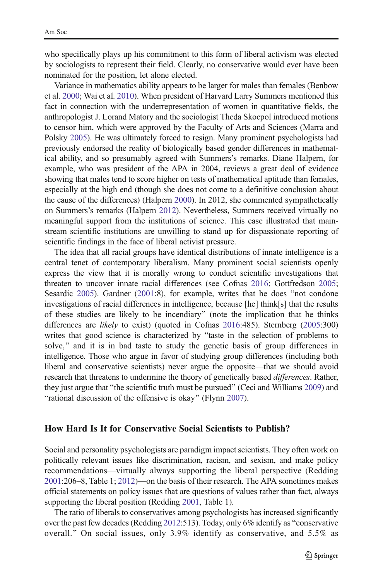who specifically plays up his commitment to this form of liberal activism was elected by sociologists to represent their field. Clearly, no conservative would ever have been nominated for the position, let alone elected.

Variance in mathematics ability appears to be larger for males than females (Benbow et al. [2000](#page-11-0); Wai et al. [2010\)](#page-13-0). When president of Harvard Larry Summers mentioned this fact in connection with the underrepresentation of women in quantitative fields, the anthropologist J. Lorand Matory and the sociologist Theda Skocpol introduced motions to censor him, which were approved by the Faculty of Arts and Sciences (Marra and Polsky [2005\)](#page-13-0). He was ultimately forced to resign. Many prominent psychologists had previously endorsed the reality of biologically based gender differences in mathematical ability, and so presumably agreed with Summers's remarks. Diane Halpern, for example, who was president of the APA in 2004, reviews a great deal of evidence showing that males tend to score higher on tests of mathematical aptitude than females, especially at the high end (though she does not come to a definitive conclusion about the cause of the differences) (Halpern [2000\)](#page-12-0). In 2012, she commented sympathetically on Summers's remarks (Halpern [2012](#page-12-0)). Nevertheless, Summers received virtually no meaningful support from the institutions of science. This case illustrated that mainstream scientific institutions are unwilling to stand up for dispassionate reporting of scientific findings in the face of liberal activist pressure.

The idea that all racial groups have identical distributions of innate intelligence is a central tenet of contemporary liberalism. Many prominent social scientists openly express the view that it is morally wrong to conduct scientific investigations that threaten to uncover innate racial differences (see Cofnas [2016;](#page-12-0) Gottfredson [2005;](#page-12-0) Sesardic [2005\)](#page-13-0). Gardner ([2001](#page-12-0):8), for example, writes that he does "not condone investigations of racial differences in intelligence, because [he] think[s] that the results of these studies are likely to be incendiary^ (note the implication that he thinks differences are *likely* to exist) (quoted in Cofnas [2016:](#page-12-0)485). Sternberg [\(2005:](#page-13-0)300) writes that good science is characterized by "taste in the selection of problems to solve," and it is in bad taste to study the genetic basis of group differences in intelligence. Those who argue in favor of studying group differences (including both liberal and conservative scientists) never argue the opposite—that we should avoid research that threatens to undermine the theory of genetically based *differences*. Rather, they just argue that "the scientific truth must be pursued" (Ceci and Williams [2009\)](#page-12-0) and "rational discussion of the offensive is okay" (Flynn [2007](#page-12-0)).

#### How Hard Is It for Conservative Social Scientists to Publish?

Social and personality psychologists are paradigm impact scientists. They often work on politically relevant issues like discrimination, racism, and sexism, and make policy recommendations—virtually always supporting the liberal perspective (Redding [2001:](#page-13-0)206–8, Table 1; [2012\)](#page-13-0)—on the basis of their research. The APA sometimes makes official statements on policy issues that are questions of values rather than fact, always supporting the liberal position (Redding [2001,](#page-13-0) Table 1).

The ratio of liberals to conservatives among psychologists has increased significantly over the past few decades (Redding [2012](#page-13-0):513). Today, only 6% identify as "conservative overall." On social issues, only 3.9% identify as conservative, and 5.5% as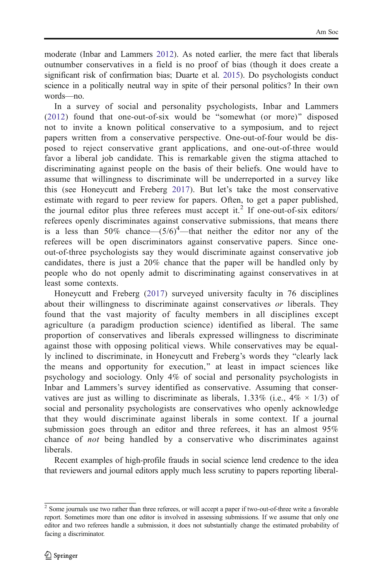moderate (Inbar and Lammers [2012](#page-12-0)). As noted earlier, the mere fact that liberals outnumber conservatives in a field is no proof of bias (though it does create a significant risk of confirmation bias; Duarte et al. [2015\)](#page-12-0). Do psychologists conduct science in a politically neutral way in spite of their personal politics? In their own words—no.

In a survey of social and personality psychologists, Inbar and Lammers  $(2012)$  found that one-out-of-six would be "somewhat (or more)" disposed not to invite a known political conservative to a symposium, and to reject papers written from a conservative perspective. One-out-of-four would be disposed to reject conservative grant applications, and one-out-of-three would favor a liberal job candidate. This is remarkable given the stigma attached to discriminating against people on the basis of their beliefs. One would have to assume that willingness to discriminate will be underreported in a survey like this (see Honeycutt and Freberg [2017\)](#page-12-0). But let's take the most conservative estimate with regard to peer review for papers. Often, to get a paper published, the journal editor plus three referees must accept it.<sup>2</sup> If one-out-of-six editors/ referees openly discriminates against conservative submissions, that means there is a less than 50% chance— $(5/6)^4$ —that neither the editor nor any of the referees will be open discriminators against conservative papers. Since oneout-of-three psychologists say they would discriminate against conservative job candidates, there is just a 20% chance that the paper will be handled only by people who do not openly admit to discriminating against conservatives in at least some contexts.

Honeycutt and Freberg ([2017\)](#page-12-0) surveyed university faculty in 76 disciplines about their willingness to discriminate against conservatives or liberals. They found that the vast majority of faculty members in all disciplines except agriculture (a paradigm production science) identified as liberal. The same proportion of conservatives and liberals expressed willingness to discriminate against those with opposing political views. While conservatives may be equally inclined to discriminate, in Honeycutt and Freberg's words they "clearly lack the means and opportunity for execution,^ at least in impact sciences like psychology and sociology. Only 4% of social and personality psychologists in Inbar and Lammers's survey identified as conservative. Assuming that conservatives are just as willing to discriminate as liberals, 1.33% (i.e.,  $4\% \times 1/3$ ) of social and personality psychologists are conservatives who openly acknowledge that they would discriminate against liberals in some context. If a journal submission goes through an editor and three referees, it has an almost 95% chance of not being handled by a conservative who discriminates against liberals.

Recent examples of high-profile frauds in social science lend credence to the idea that reviewers and journal editors apply much less scrutiny to papers reporting liberal-

 $2$  Some journals use two rather than three referees, or will accept a paper if two-out-of-three write a favorable report. Sometimes more than one editor is involved in assessing submissions. If we assume that only one editor and two referees handle a submission, it does not substantially change the estimated probability of facing a discriminator.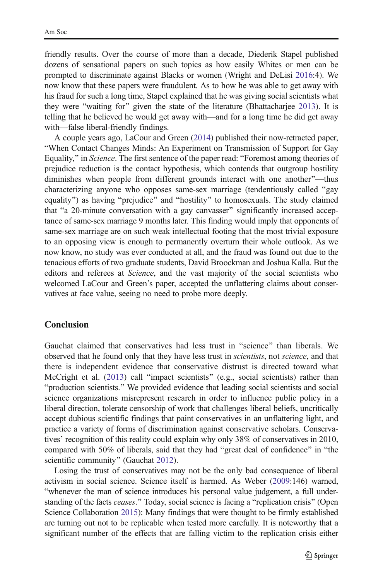friendly results. Over the course of more than a decade, Diederik Stapel published dozens of sensational papers on such topics as how easily Whites or men can be prompted to discriminate against Blacks or women (Wright and DeLisi [2016:](#page-13-0)4). We now know that these papers were fraudulent. As to how he was able to get away with his fraud for such a long time, Stapel explained that he was giving social scientists what they were "waiting for" given the state of the literature (Bhattachariee [2013](#page-11-0)). It is telling that he believed he would get away with—and for a long time he did get away with—false liberal-friendly findings.

A couple years ago, LaCour and Green [\(2014\)](#page-12-0) published their now-retracted paper, "When Contact Changes Minds: An Experiment on Transmission of Support for Gay Equality," in *Science*. The first sentence of the paper read: "Foremost among theories of prejudice reduction is the contact hypothesis, which contends that outgroup hostility diminishes when people from different grounds interact with one another<sup>"—thus</sup> characterizing anyone who opposes same-sex marriage (tendentiously called "gay equality") as having "prejudice" and "hostility" to homosexuals. The study claimed that "a 20-minute conversation with a gay canvasser" significantly increased acceptance of same-sex marriage 9 months later. This finding would imply that opponents of same-sex marriage are on such weak intellectual footing that the most trivial exposure to an opposing view is enough to permanently overturn their whole outlook. As we now know, no study was ever conducted at all, and the fraud was found out due to the tenacious efforts of two graduate students, David Broockman and Joshua Kalla. But the editors and referees at *Science*, and the vast majority of the social scientists who welcomed LaCour and Green's paper, accepted the unflattering claims about conservatives at face value, seeing no need to probe more deeply.

#### Conclusion

Gauchat claimed that conservatives had less trust in "science" than liberals. We observed that he found only that they have less trust in *scientists*, not *science*, and that there is independent evidence that conservative distrust is directed toward what McCright et al.  $(2013)$  $(2013)$  call "impact scientists" (e.g., social scientists) rather than "production scientists." We provided evidence that leading social scientists and social science organizations misrepresent research in order to influence public policy in a liberal direction, tolerate censorship of work that challenges liberal beliefs, uncritically accept dubious scientific findings that paint conservatives in an unflattering light, and practice a variety of forms of discrimination against conservative scholars. Conservatives' recognition of this reality could explain why only 38% of conservatives in 2010, compared with  $50\%$  of liberals, said that they had "great deal of confidence" in "the scientific community" (Gauchat [2012](#page-12-0)).

Losing the trust of conservatives may not be the only bad consequence of liberal activism in social science. Science itself is harmed. As Weber [\(2009:](#page-13-0)146) warned, "whenever the man of science introduces his personal value judgement, a full understanding of the facts *ceases.*" Today, social science is facing a "replication crisis" (Open Science Collaboration [2015](#page-13-0)): Many findings that were thought to be firmly established are turning out not to be replicable when tested more carefully. It is noteworthy that a significant number of the effects that are falling victim to the replication crisis either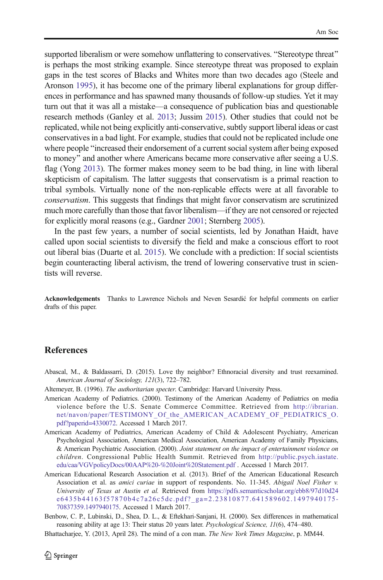<span id="page-11-0"></span>supported liberalism or were somehow unflattering to conservatives. "Stereotype threat" is perhaps the most striking example. Since stereotype threat was proposed to explain gaps in the test scores of Blacks and Whites more than two decades ago (Steele and Aronson [1995\)](#page-13-0), it has become one of the primary liberal explanations for group differences in performance and has spawned many thousands of follow-up studies. Yet it may turn out that it was all a mistake—a consequence of publication bias and questionable research methods (Ganley et al. [2013;](#page-12-0) Jussim [2015](#page-12-0)). Other studies that could not be replicated, while not being explicitly anti-conservative, subtly support liberal ideas or cast conservatives in a bad light. For example, studies that could not be replicated include one where people "increased their endorsement of a current social system after being exposed to money^ and another where Americans became more conservative after seeing a U.S. flag (Yong [2013](#page-13-0)). The former makes money seem to be bad thing, in line with liberal skepticism of capitalism. The latter suggests that conservatism is a primal reaction to tribal symbols. Virtually none of the non-replicable effects were at all favorable to conservatism. This suggests that findings that might favor conservatism are scrutinized much more carefully than those that favor liberalism—if they are not censored or rejected for explicitly moral reasons (e.g., Gardner [2001;](#page-12-0) Sternberg [2005\)](#page-13-0).

In the past few years, a number of social scientists, led by Jonathan Haidt, have called upon social scientists to diversify the field and make a conscious effort to root out liberal bias (Duarte et al. [2015](#page-12-0)). We conclude with a prediction: If social scientists begin counteracting liberal activism, the trend of lowering conservative trust in scientists will reverse.

Acknowledgements Thanks to Lawrence Nichols and Neven Sesardić for helpful comments on earlier drafts of this paper.

#### **References**

- Abascal, M., & Baldassarri, D. (2015). Love thy neighbor? Ethnoracial diversity and trust reexamined. American Journal of Sociology, 121(3), 722–782.
- Altemeyer, B. (1996). The authoritarian specter. Cambridge: Harvard University Press.
- American Academy of Pediatrics. (2000). Testimony of the American Academy of Pediatrics on media violence before the U.S. Senate Commerce Committee. Retrieved from [http://ibrarian.](http://ibrarian.net/navon/paper/TESTIMONY_Of_the_AMERICAN_ACADEMY_OF_PEDIATRICS_O.pdf?paperid=4330072) [net/navon/paper/TESTIMONY\\_Of\\_the\\_AMERICAN\\_ACADEMY\\_OF\\_PEDIATRICS\\_O.](http://ibrarian.net/navon/paper/TESTIMONY_Of_the_AMERICAN_ACADEMY_OF_PEDIATRICS_O.pdf?paperid=4330072) [pdf?paperid=4330072.](http://ibrarian.net/navon/paper/TESTIMONY_Of_the_AMERICAN_ACADEMY_OF_PEDIATRICS_O.pdf?paperid=4330072) Accessed 1 March 2017.
- American Academy of Pediatrics, American Academy of Child & Adolescent Psychiatry, American Psychological Association, American Medical Association, American Academy of Family Physicians, & American Psychiatric Association. (2000). Joint statement on the impact of entertainment violence on children. Congressional Public Health Summit. Retrieved from [http://public.psych.iastate.](http://public.psych.iastate.edu/caa/VGVpolicyDocs/00AAP%2520-%2520Joint%20Statement.pdf) [edu/caa/VGVpolicyDocs/00AAP%20-%20Joint%20Statement.pdf](http://public.psych.iastate.edu/caa/VGVpolicyDocs/00AAP%2520-%2520Joint%20Statement.pdf) . Accessed 1 March 2017.
- American Educational Research Association et al. (2013). Brief of the American Educational Research Association et al. as amici curiae in support of respondents. No. 11-345. Abigail Noel Fisher v. University of Texas at Austin et al. Retrieved from [https://pdfs.semanticscholar.org/ebb8/97d10d24](https://pdfs.semanticscholar.org/ebb8/97d10d24e6435b44163f57870b4c7a26c5dc.pdf?_ga=2.23810877.641589602.1497940175-70837359.1497940175) [e6435b44163f57870b4c7a26c5dc.pdf?\\_ga=2.23810877.641589602.1497940175-](https://pdfs.semanticscholar.org/ebb8/97d10d24e6435b44163f57870b4c7a26c5dc.pdf?_ga=2.23810877.641589602.1497940175-70837359.1497940175) [70837359.1497940175.](https://pdfs.semanticscholar.org/ebb8/97d10d24e6435b44163f57870b4c7a26c5dc.pdf?_ga=2.23810877.641589602.1497940175-70837359.1497940175) Accessed 1 March 2017.
- Benbow, C. P., Lubinski, D., Shea, D. L., & Eftekhari-Sanjani, H. (2000). Sex differences in mathematical reasoning ability at age 13: Their status 20 years later. Psychological Science, 11(6), 474–480.

Bhattacharjee, Y. (2013, April 28). The mind of a con man. The New York Times Magazine, p. MM44.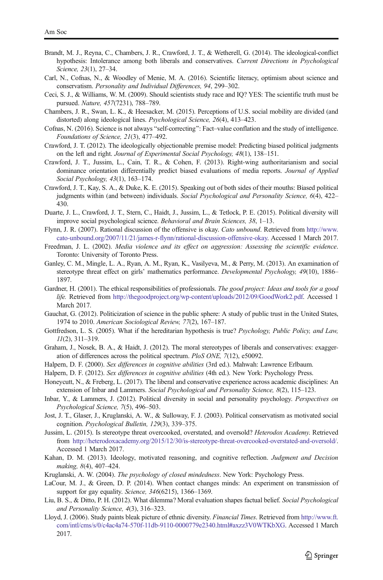- <span id="page-12-0"></span>Brandt, M. J., Reyna, C., Chambers, J. R., Crawford, J. T., & Wetherell, G. (2014). The ideological-conflict hypothesis: Intolerance among both liberals and conservatives. Current Directions in Psychological Science, 23(1), 27–34.
- Carl, N., Cofnas, N., & Woodley of Menie, M. A. (2016). Scientific literacy, optimism about science and conservatism. Personality and Individual Differences, 94, 299–302.
- Ceci, S. J., & Williams, W. M. (2009). Should scientists study race and IQ? YES: The scientific truth must be pursued. Nature, 457(7231), 788–789.
- Chambers, J. R., Swan, L. K., & Heesacker, M. (2015). Perceptions of U.S. social mobility are divided (and distorted) along ideological lines. Psychological Science, 26(4), 413–423.
- Cofnas, N. (2016). Science is not always "self-correcting": Fact–value conflation and the study of intelligence. Foundations of Science, 21(3), 477–492.
- Crawford, J. T. (2012). The ideologically objectionable premise model: Predicting biased political judgments on the left and right. Journal of Experimental Social Psychology, 48(1), 138–151.
- Crawford, J. T., Jussim, L., Cain, T. R., & Cohen, F. (2013). Right-wing authoritarianism and social dominance orientation differentially predict biased evaluations of media reports. Journal of Applied Social Psychology, 43(1), 163–174.
- Crawford, J. T., Kay, S. A., & Duke, K. E. (2015). Speaking out of both sides of their mouths: Biased political judgments within (and between) individuals. Social Psychological and Personality Science, 6(4), 422– 430.
- Duarte, J. L., Crawford, J. T., Stern, C., Haidt, J., Jussim, L., & Tetlock, P. E. (2015). Political diversity will improve social psychological science. Behavioral and Brain Sciences, 38, 1–13.
- Flynn, J. R. (2007). Rational discussion of the offensive is okay. Cato unbound. Retrieved from [http://www.](http://www.cato-unbound.org/2007/11/21/james-r-flynn/rational-discussion-offensive-okay) [cato-unbound.org/2007/11/21/james-r-flynn/rational-discussion-offensive-okay.](http://www.cato-unbound.org/2007/11/21/james-r-flynn/rational-discussion-offensive-okay) Accessed 1 March 2017.
- Freedman, J. L. (2002). Media violence and its effect on aggression: Assessing the scientific evidence. Toronto: University of Toronto Press.
- Ganley, C. M., Mingle, L. A., Ryan, A. M., Ryan, K., Vasilyeva, M., & Perry, M. (2013). An examination of stereotype threat effect on girls' mathematics performance. Developmental Psychology, 49(10), 1886– 1897.
- Gardner, H. (2001). The ethical responsibilities of professionals. The good project: Ideas and tools for a good life. Retrieved from [http://thegoodproject.org/wp-content/uploads/2012/09/GoodWork2.pdf.](http://thegoodproject.org/wp-content/uploads/2012/09/GoodWork2.pdf) Accessed 1 March 2017.
- Gauchat, G. (2012). Politicization of science in the public sphere: A study of public trust in the United States, 1974 to 2010. American Sociological Review, 77(2), 167–187.
- Gottfredson, L. S. (2005). What if the hereditarian hypothesis is true? Psychology, Public Policy, and Law, 11(2), 311–319.
- Graham, J., Nosek, B. A., & Haidt, J. (2012). The moral stereotypes of liberals and conservatives: exaggeration of differences across the political spectrum. PloS ONE, 7(12), e50092.
- Halpern, D. F. (2000). Sex differences in cognitive abilities (3rd ed.). Mahwah: Lawrence Erlbaum.
- Halpern, D. F. (2012). Sex differences in cognitive abilities (4th ed.). New York: Psychology Press.
- Honeycutt, N., & Freberg, L. (2017). The liberal and conservative experience across academic disciplines: An extension of Inbar and Lammers. Social Psychological and Personality Science, 8(2), 115–123.
- Inbar, Y., & Lammers, J. (2012). Political diversity in social and personality psychology. Perspectives on Psychological Science, 7(5), 496–503.
- Jost, J. T., Glaser, J., Kruglanski, A. W., & Sulloway, F. J. (2003). Political conservatism as motivated social cognition. Psychological Bulletin, 129(3), 339–375.
- Jussim, L. (2015). Is stereotype threat overcooked, overstated, and oversold? Heterodox Academy. Retrieved from <http://heterodoxacademy.org/2015/12/30/is-stereotype-threat-overcooked-overstated-and-oversold/>. Accessed 1 March 2017.
- Kahan, D. M. (2013). Ideology, motivated reasoning, and cognitive reflection. Judgment and Decision making, 8(4), 407–424.
- Kruglanski, A. W. (2004). The psychology of closed mindedness. New York: Psychology Press.
- LaCour, M. J., & Green, D. P. (2014). When contact changes minds: An experiment on transmission of support for gay equality. Science, 346(6215), 1366-1369.
- Liu, B. S., & Ditto, P. H. (2012). What dilemma? Moral evaluation shapes factual belief. Social Psychological and Personality Science, 4(3), 316–323.
- Lloyd, J. (2006). Study paints bleak picture of ethnic diversity. Financial Times. Retrieved from [http://www.ft.](http://www.ft.com/intl/cms/s/0/c4ac4a74-570f-11db-9110-0000779e2340.html%23axzz3V0WTKbXG) [com/intl/cms/s/0/c4ac4a74-570f-11db-9110-0000779e2340.html#axzz3V0WTKbXG](http://www.ft.com/intl/cms/s/0/c4ac4a74-570f-11db-9110-0000779e2340.html%23axzz3V0WTKbXG). Accessed 1 March 2017.